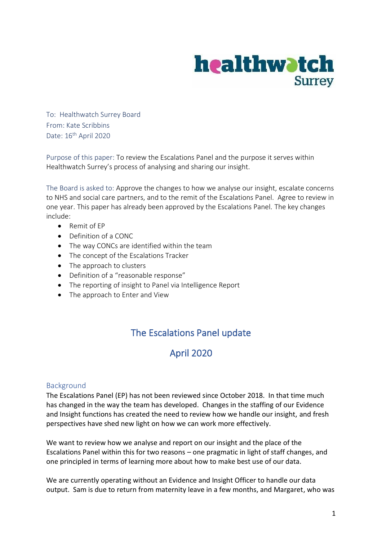

To: Healthwatch Surrey Board From: Kate Scribbins Date: 16<sup>th</sup> April 2020

Purpose of this paper: To review the Escalations Panel and the purpose it serves within Healthwatch Surrey's process of analysing and sharing our insight.

The Board is asked to: Approve the changes to how we analyse our insight, escalate concerns to NHS and social care partners, and to the remit of the Escalations Panel. Agree to review in one year. This paper has already been approved by the Escalations Panel. The key changes include:

- Remit of EP
- Definition of a CONC
- The way CONCs are identified within the team
- The concept of the Escalations Tracker
- The approach to clusters
- Definition of a "reasonable response"
- The reporting of insight to Panel via Intelligence Report
- The approach to Enter and View

# The Escalations Panel update

# April 2020

#### Background

The Escalations Panel (EP) has not been reviewed since October 2018. In that time much has changed in the way the team has developed. Changes in the staffing of our Evidence and Insight functions has created the need to review how we handle our insight, and fresh perspectives have shed new light on how we can work more effectively.

We want to review how we analyse and report on our insight and the place of the Escalations Panel within this for two reasons – one pragmatic in light of staff changes, and one principled in terms of learning more about how to make best use of our data.

We are currently operating without an Evidence and Insight Officer to handle our data output. Sam is due to return from maternity leave in a few months, and Margaret, who was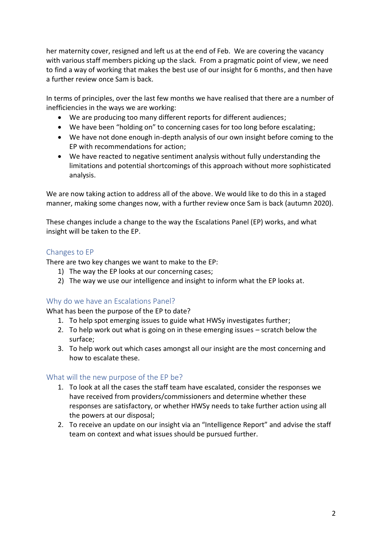her maternity cover, resigned and left us at the end of Feb. We are covering the vacancy with various staff members picking up the slack. From a pragmatic point of view, we need to find a way of working that makes the best use of our insight for 6 months, and then have a further review once Sam is back.

In terms of principles, over the last few months we have realised that there are a number of inefficiencies in the ways we are working:

- We are producing too many different reports for different audiences;
- We have been "holding on" to concerning cases for too long before escalating;
- We have not done enough in-depth analysis of our own insight before coming to the EP with recommendations for action;
- We have reacted to negative sentiment analysis without fully understanding the limitations and potential shortcomings of this approach without more sophisticated analysis.

We are now taking action to address all of the above. We would like to do this in a staged manner, making some changes now, with a further review once Sam is back (autumn 2020).

These changes include a change to the way the Escalations Panel (EP) works, and what insight will be taken to the EP.

### Changes to EP

There are two key changes we want to make to the EP:

- 1) The way the EP looks at our concerning cases;
- 2) The way we use our intelligence and insight to inform what the EP looks at.

## Why do we have an Escalations Panel?

What has been the purpose of the EP to date?

- 1. To help spot emerging issues to guide what HWSy investigates further;
- 2. To help work out what is going on in these emerging issues scratch below the surface;
- 3. To help work out which cases amongst all our insight are the most concerning and how to escalate these.

#### What will the new purpose of the EP be?

- 1. To look at all the cases the staff team have escalated, consider the responses we have received from providers/commissioners and determine whether these responses are satisfactory, or whether HWSy needs to take further action using all the powers at our disposal;
- 2. To receive an update on our insight via an "Intelligence Report" and advise the staff team on context and what issues should be pursued further.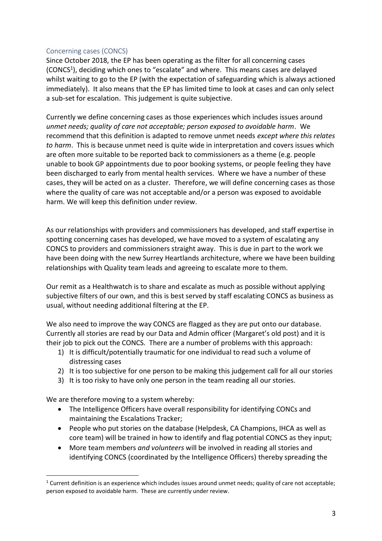#### Concerning cases (CONCS)

Since October 2018, the EP has been operating as the filter for all concerning cases (CONCS<sup>1</sup>), deciding which ones to "escalate" and where. This means cases are delayed whilst waiting to go to the EP (with the expectation of safeguarding which is always actioned immediately). It also means that the EP has limited time to look at cases and can only select a sub-set for escalation. This judgement is quite subjective.

Currently we define concerning cases as those experiences which includes issues around *unmet needs; quality of care not acceptable; person exposed to avoidable harm*. We recommend that this definition is adapted to remove unmet needs *except where this relates to harm*. This is because unmet need is quite wide in interpretation and covers issues which are often more suitable to be reported back to commissioners as a theme (e.g. people unable to book GP appointments due to poor booking systems, or people feeling they have been discharged to early from mental health services. Where we have a number of these cases, they will be acted on as a cluster. Therefore, we will define concerning cases as those where the quality of care was not acceptable and/or a person was exposed to avoidable harm. We will keep this definition under review.

As our relationships with providers and commissioners has developed, and staff expertise in spotting concerning cases has developed, we have moved to a system of escalating any CONCS to providers and commissioners straight away. This is due in part to the work we have been doing with the new Surrey Heartlands architecture, where we have been building relationships with Quality team leads and agreeing to escalate more to them.

Our remit as a Healthwatch is to share and escalate as much as possible without applying subjective filters of our own, and this is best served by staff escalating CONCS as business as usual, without needing additional filtering at the EP.

We also need to improve the way CONCS are flagged as they are put onto our database. Currently all stories are read by our Data and Admin officer (Margaret's old post) and it is their job to pick out the CONCS. There are a number of problems with this approach:

- 1) It is difficult/potentially traumatic for one individual to read such a volume of distressing cases
- 2) It is too subjective for one person to be making this judgement call for all our stories
- 3) It is too risky to have only one person in the team reading all our stories.

We are therefore moving to a system whereby:

- The Intelligence Officers have overall responsibility for identifying CONCs and maintaining the Escalations Tracker;
- People who put stories on the database (Helpdesk, CA Champions, IHCA as well as core team) will be trained in how to identify and flag potential CONCS as they input;
- More team members *and volunteers* will be involved in reading all stories and identifying CONCS (coordinated by the Intelligence Officers) thereby spreading the

 $1$  Current definition is an experience which includes issues around unmet needs; quality of care not acceptable; person exposed to avoidable harm. These are currently under review.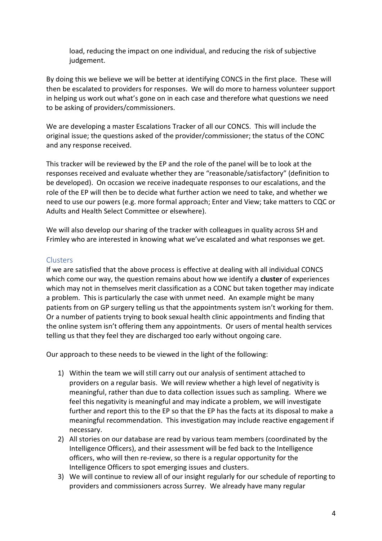load, reducing the impact on one individual, and reducing the risk of subjective judgement.

By doing this we believe we will be better at identifying CONCS in the first place. These will then be escalated to providers for responses. We will do more to harness volunteer support in helping us work out what's gone on in each case and therefore what questions we need to be asking of providers/commissioners.

We are developing a master Escalations Tracker of all our CONCS. This will include the original issue; the questions asked of the provider/commissioner; the status of the CONC and any response received.

This tracker will be reviewed by the EP and the role of the panel will be to look at the responses received and evaluate whether they are "reasonable/satisfactory" (definition to be developed). On occasion we receive inadequate responses to our escalations, and the role of the EP will then be to decide what further action we need to take, and whether we need to use our powers (e.g. more formal approach; Enter and View; take matters to CQC or Adults and Health Select Committee or elsewhere).

We will also develop our sharing of the tracker with colleagues in quality across SH and Frimley who are interested in knowing what we've escalated and what responses we get.

#### **Clusters**

If we are satisfied that the above process is effective at dealing with all individual CONCS which come our way, the question remains about how we identify a **cluster** of experiences which may not in themselves merit classification as a CONC but taken together may indicate a problem. This is particularly the case with unmet need. An example might be many patients from on GP surgery telling us that the appointments system isn't working for them. Or a number of patients trying to book sexual health clinic appointments and finding that the online system isn't offering them any appointments. Or users of mental health services telling us that they feel they are discharged too early without ongoing care.

Our approach to these needs to be viewed in the light of the following:

- 1) Within the team we will still carry out our analysis of sentiment attached to providers on a regular basis. We will review whether a high level of negativity is meaningful, rather than due to data collection issues such as sampling. Where we feel this negativity is meaningful and may indicate a problem, we will investigate further and report this to the EP so that the EP has the facts at its disposal to make a meaningful recommendation. This investigation may include reactive engagement if necessary.
- 2) All stories on our database are read by various team members (coordinated by the Intelligence Officers), and their assessment will be fed back to the Intelligence officers, who will then re-review, so there is a regular opportunity for the Intelligence Officers to spot emerging issues and clusters.
- 3) We will continue to review all of our insight regularly for our schedule of reporting to providers and commissioners across Surrey. We already have many regular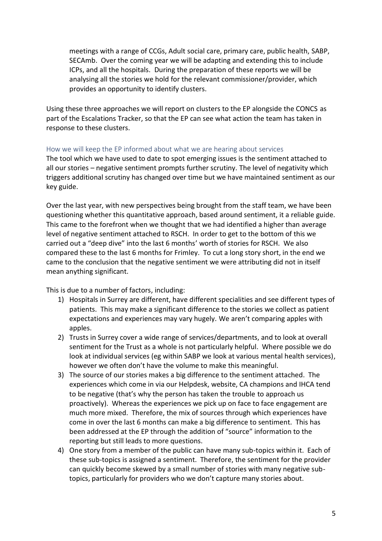meetings with a range of CCGs, Adult social care, primary care, public health, SABP, SECAmb. Over the coming year we will be adapting and extending this to include ICPs, and all the hospitals. During the preparation of these reports we will be analysing all the stories we hold for the relevant commissioner/provider, which provides an opportunity to identify clusters.

Using these three approaches we will report on clusters to the EP alongside the CONCS as part of the Escalations Tracker, so that the EP can see what action the team has taken in response to these clusters.

#### How we will keep the EP informed about what we are hearing about services

The tool which we have used to date to spot emerging issues is the sentiment attached to all our stories – negative sentiment prompts further scrutiny. The level of negativity which triggers additional scrutiny has changed over time but we have maintained sentiment as our key guide.

Over the last year, with new perspectives being brought from the staff team, we have been questioning whether this quantitative approach, based around sentiment, it a reliable guide. This came to the forefront when we thought that we had identified a higher than average level of negative sentiment attached to RSCH. In order to get to the bottom of this we carried out a "deep dive" into the last 6 months' worth of stories for RSCH. We also compared these to the last 6 months for Frimley. To cut a long story short, in the end we came to the conclusion that the negative sentiment we were attributing did not in itself mean anything significant.

This is due to a number of factors, including:

- 1) Hospitals in Surrey are different, have different specialities and see different types of patients. This may make a significant difference to the stories we collect as patient expectations and experiences may vary hugely. We aren't comparing apples with apples.
- 2) Trusts in Surrey cover a wide range of services/departments, and to look at overall sentiment for the Trust as a whole is not particularly helpful. Where possible we do look at individual services (eg within SABP we look at various mental health services), however we often don't have the volume to make this meaningful.
- 3) The source of our stories makes a big difference to the sentiment attached. The experiences which come in via our Helpdesk, website, CA champions and IHCA tend to be negative (that's why the person has taken the trouble to approach us proactively). Whereas the experiences we pick up on face to face engagement are much more mixed. Therefore, the mix of sources through which experiences have come in over the last 6 months can make a big difference to sentiment. This has been addressed at the EP through the addition of "source" information to the reporting but still leads to more questions.
- 4) One story from a member of the public can have many sub-topics within it. Each of these sub-topics is assigned a sentiment. Therefore, the sentiment for the provider can quickly become skewed by a small number of stories with many negative subtopics, particularly for providers who we don't capture many stories about.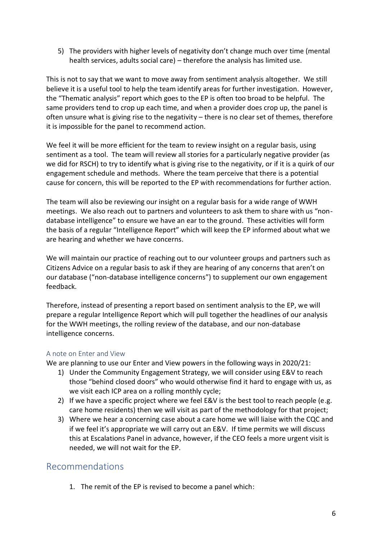5) The providers with higher levels of negativity don't change much over time (mental health services, adults social care) – therefore the analysis has limited use.

This is not to say that we want to move away from sentiment analysis altogether. We still believe it is a useful tool to help the team identify areas for further investigation. However, the "Thematic analysis" report which goes to the EP is often too broad to be helpful. The same providers tend to crop up each time, and when a provider does crop up, the panel is often unsure what is giving rise to the negativity – there is no clear set of themes, therefore it is impossible for the panel to recommend action.

We feel it will be more efficient for the team to review insight on a regular basis, using sentiment as a tool. The team will review all stories for a particularly negative provider (as we did for RSCH) to try to identify what is giving rise to the negativity, or if it is a quirk of our engagement schedule and methods. Where the team perceive that there is a potential cause for concern, this will be reported to the EP with recommendations for further action.

The team will also be reviewing our insight on a regular basis for a wide range of WWH meetings. We also reach out to partners and volunteers to ask them to share with us "nondatabase intelligence" to ensure we have an ear to the ground. These activities will form the basis of a regular "Intelligence Report" which will keep the EP informed about what we are hearing and whether we have concerns.

We will maintain our practice of reaching out to our volunteer groups and partners such as Citizens Advice on a regular basis to ask if they are hearing of any concerns that aren't on our database ("non-database intelligence concerns") to supplement our own engagement feedback.

Therefore, instead of presenting a report based on sentiment analysis to the EP, we will prepare a regular Intelligence Report which will pull together the headlines of our analysis for the WWH meetings, the rolling review of the database, and our non-database intelligence concerns.

#### A note on Enter and View

We are planning to use our Enter and View powers in the following ways in 2020/21:

- 1) Under the Community Engagement Strategy, we will consider using E&V to reach those "behind closed doors" who would otherwise find it hard to engage with us, as we visit each ICP area on a rolling monthly cycle;
- 2) If we have a specific project where we feel E&V is the best tool to reach people (e.g. care home residents) then we will visit as part of the methodology for that project;
- 3) Where we hear a concerning case about a care home we will liaise with the CQC and if we feel it's appropriate we will carry out an E&V. If time permits we will discuss this at Escalations Panel in advance, however, if the CEO feels a more urgent visit is needed, we will not wait for the EP.

# Recommendations

1. The remit of the EP is revised to become a panel which: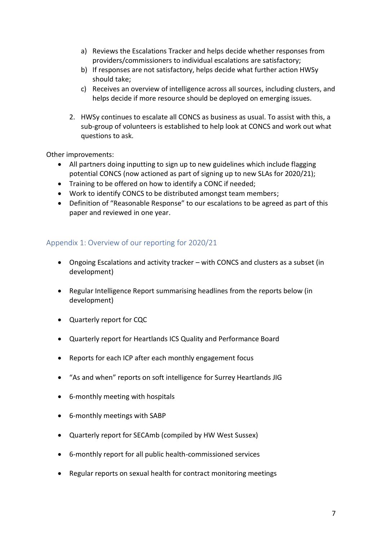- a) Reviews the Escalations Tracker and helps decide whether responses from providers/commissioners to individual escalations are satisfactory;
- b) If responses are not satisfactory, helps decide what further action HWSy should take;
- c) Receives an overview of intelligence across all sources, including clusters, and helps decide if more resource should be deployed on emerging issues.
- 2. HWSy continues to escalate all CONCS as business as usual. To assist with this, a sub-group of volunteers is established to help look at CONCS and work out what questions to ask.

Other improvements:

- All partners doing inputting to sign up to new guidelines which include flagging potential CONCS (now actioned as part of signing up to new SLAs for 2020/21);
- Training to be offered on how to identify a CONC if needed;
- Work to identify CONCS to be distributed amongst team members;
- Definition of "Reasonable Response" to our escalations to be agreed as part of this paper and reviewed in one year.

#### Appendix 1: Overview of our reporting for 2020/21

- Ongoing Escalations and activity tracker with CONCS and clusters as a subset (in development)
- Regular Intelligence Report summarising headlines from the reports below (in development)
- Quarterly report for CQC
- Quarterly report for Heartlands ICS Quality and Performance Board
- Reports for each ICP after each monthly engagement focus
- "As and when" reports on soft intelligence for Surrey Heartlands JIG
- 6-monthly meeting with hospitals
- 6-monthly meetings with SABP
- Quarterly report for SECAmb (compiled by HW West Sussex)
- 6-monthly report for all public health-commissioned services
- Regular reports on sexual health for contract monitoring meetings